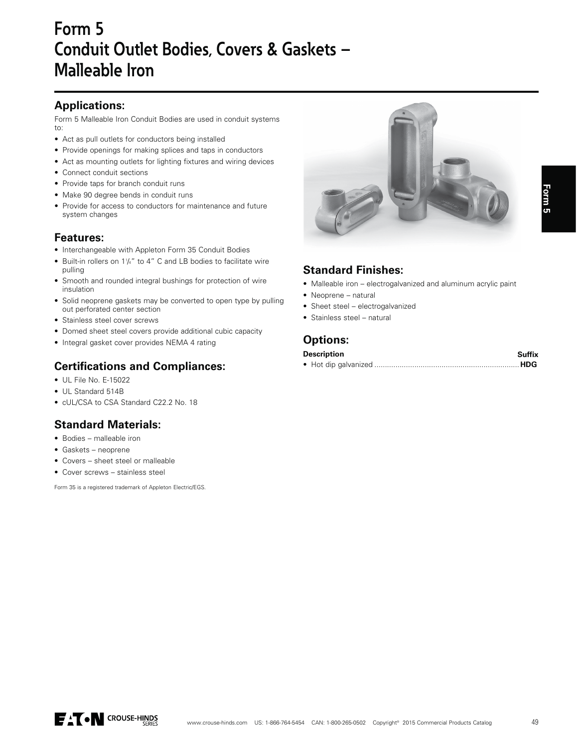# Form 5 Conduit Outlet Bodies, Covers & Gaskets -**Malleable Iron**

### **Applications:**

Form 5 Malleable Iron Conduit Bodies are used in conduit systems  $\uparrow$   $\uparrow$ 

- Act as pull outlets for conductors being installed
- Provide openings for making splices and taps in conductors
- Act as mounting outlets for lighting fixtures and wiring devices
- Connect conduit sections
- Provide taps for branch conduit runs
- Make 90 degree bends in conduit runs
- Provide for access to conductors for maintenance and future system changes

#### **Features:**

- Interchangeable with Appleton Form 35 Conduit Bodies
- Built-in rollers on 1¼" to 4" C and LB bodies to facilitate wire pulling
- Smooth and rounded integral bushings for protection of wire insulation
- Solid neoprene gaskets may be converted to open type by pulling out perforated center section
- Stainless steel cover screws
- Domed sheet steel covers provide additional cubic capacity
- Integral gasket cover provides NEMA 4 rating

#### **Certifications and Compliances:**

- UL File No. E-15022
- UL Standard 514B
- cUL/CSA to CSA Standard C22.2 No. 18

# **Standard Materials:**

- Bodies malleable iron
- Gaskets neoprene
- Covers sheet steel or malleable
- Cover screws stainless steel

Form 35 is a registered trademark of Appleton Electric/EGS.



### **Standard Finishes:**

- Malleable iron electrogalvanized and aluminum acrylic paint
- Neoprene natural
- Sheet steel electrogalvanized
- Stainless steel natural

#### **Options:**

| <b>Description</b> | Suffix |
|--------------------|--------|
|                    |        |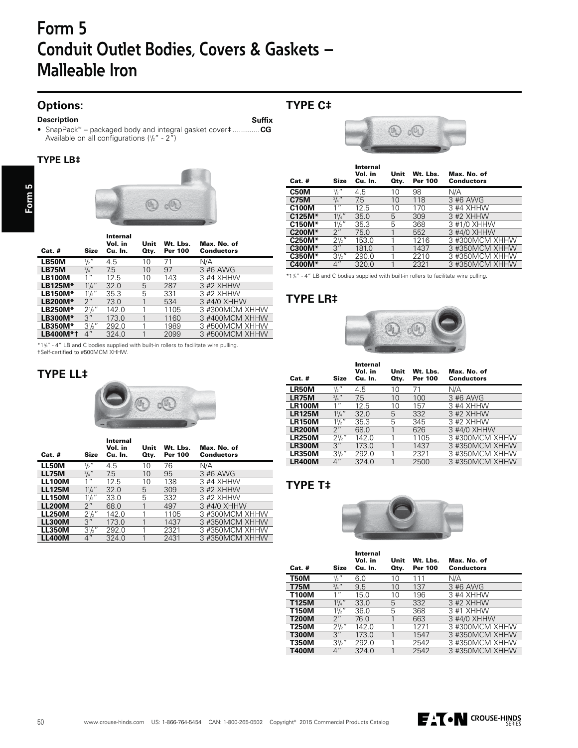# **Form 5 Conduit Outlet Bodies, Covers & Gaskets – Malleable Iron**

# **Options:**

#### **Description**

• SnapPack™ – packaged body and integral gasket cover‡ .............**CG** Available on all configurations (½" - 2")

#### **TYPE LB‡**

**Form 5**



| $Cat.$ #       | <b>Size</b>      | Internal<br>Vol. in<br>Cu. In. | Unit<br>Qty. | Wt. Lbs.<br><b>Per 100</b> | Max. No. of<br><b>Conductors</b> |
|----------------|------------------|--------------------------------|--------------|----------------------------|----------------------------------|
| LB50M          | $\frac{1}{2}$    | 4.5                            | 10           | 71                         | N/A                              |
| <b>LB75M</b>   | $\frac{3}{4}$ "  | 7.5                            | 10           | 97                         | 3 #6 AWG                         |
| LB100M         | 1 <sup>ii</sup>  | 12.5                           | 10           | 143                        | 3 #4 XHHW                        |
| LB125M*        | $1^{1}/4$ "      | 32.0                           | 5            | 287                        | 3 #2 XHHW                        |
| LB150M*        | $1\frac{1}{2}$ " | 35.3                           | 5            | 331                        | 3 #2 XHHW                        |
| <b>LB200M*</b> | 2"               | 73.0                           | 1            | 534                        | 3 #4/0 XHHW                      |
| <b>LB250M*</b> | $2\frac{1}{2}$ " | 142.0                          |              | 1105                       | 3 #300MCM XHHW                   |
| <b>LB300M*</b> | 3''              | 173.0                          |              | 1160                       | 3 #400MCM XHHW                   |
| <b>LB350M*</b> | $3\frac{1}{2}$ " | 292.0                          |              | 1989                       | 3 #500MCM XHHW                   |
| LB400M*1       | 4"               | 324.0                          |              | 2099                       | 3 #500MCM XHHW                   |

\*1¼" - 4″ LB and C bodies supplied with built-in rollers to facilitate wire pulling.<br>†Self-certified to #500MCM XHHW.

#### **TYPE LL‡**



| $Cat.$ #      | <b>Size</b>      | Internal<br>Vol. in<br>Cu. In. | Unit<br>Qty. | Wt. Lbs.<br>Per 100 | Max. No. of<br><b>Conductors</b> |
|---------------|------------------|--------------------------------|--------------|---------------------|----------------------------------|
| <b>LL50M</b>  | $\frac{1}{2}$    | 4.5                            | 10           | 76                  | N/A                              |
| <b>LL75M</b>  | $^{3}/_{4}$ "    | 7.5                            | 10           | 95                  | 3 #6 AWG                         |
| LL100M        | 1 <sup>II</sup>  | 12.5                           | 10           | 138                 | 3 #4 XHHW                        |
| <b>LL125M</b> | $1^{1}/4$        | 32.0                           | 5            | 309                 | 3 #2 XHHW                        |
| <b>LL150M</b> | $1\frac{1}{2}$ " | 33.0                           | 5            | 332                 | 3 #2 XHHW                        |
| <b>LL200M</b> | 2"               | 68.0                           | 1            | 497                 | 3 #4/0 XHHW                      |
| <b>LL250M</b> | $2\frac{1}{2}$ " | 142.0                          |              | 1105                | 3 #300MCM XHHW                   |
| <b>LL300M</b> | 3''              | 173.0                          |              | 1437                | 3 #350MCM XHHW                   |
| <b>LL350M</b> | $3^{1}/2$ "      | 292.0                          |              | 2321                | 3 #350MCM XHHW                   |
| <b>LL400M</b> | 4"               | 324.0                          |              | 2431                | 3 #350MCM XHHW                   |

### **TYPE C‡**

j,

Ī

Ī

**Suffix**



| $Cat.$ #     | Size             | Internal<br>Vol. in<br>Cu. In. | Unit<br>Otv. | Wt. Lbs.<br><b>Per 100</b> | Max. No. of<br><b>Conductors</b> |
|--------------|------------------|--------------------------------|--------------|----------------------------|----------------------------------|
| C50M         | $\frac{1}{2}$ "  | 4.5                            | 10           | 98                         | N/A                              |
| <b>C75M</b>  | $3/4$ "          | 7.5                            | 10           | 118                        | 3 #6 AWG                         |
| <b>C100M</b> | 1 <sup>II</sup>  | 12.5                           | 10           | 170                        | 3 #4 XHHW                        |
| $C125M*$     | $1\frac{1}{4}$   | 35.0                           | 5            | 309                        | 3 #2 XHHW                        |
| C150M*       | $1\frac{1}{2}$ " | 35.3                           | 5            | 368                        | 3 #1/0 XHHW                      |
| C200M*       | 2"               | 75.0                           |              | 552                        | 3 #4/0 XHHW                      |
| C250M*       | $2^{1}/2$ "      | 153.0                          |              | 1216                       | 3 #300MCM XHHW                   |
| C300M*       | 3"               | 181.0                          |              | 1437                       | 3 #350MCM XHHW                   |
| C350M*       | $3^{1}/2$ "      | 290.0                          |              | 2210                       | 3 #350MCM XHHW                   |
| C400M*       | $\overline{4}$ " | 320.0                          |              | 2321                       | 3 #350MCM XHHW                   |
|              |                  |                                |              |                            |                                  |

\*11/4" - 4" LB and C bodies supplied with built-in rollers to facilitate wire pulling.

#### **TYPE LR‡**



| <b>Size</b>      | Internal<br>Vol. in<br>Cu. In. | Unit<br>Oty. | Wt. Lbs.<br>Per 100 | Max. No. of<br><b>Conductors</b> |
|------------------|--------------------------------|--------------|---------------------|----------------------------------|
| $\frac{1}{2}$ "  | 4.5                            | 10           | 71                  | N/A                              |
| $3/4$ "          | 7.5                            | 10           | 100                 | 3 #6 AWG                         |
| 1 <sup>II</sup>  | 12.5                           | 10           | 157                 | 3 #4 XHHW                        |
| $1\frac{1}{4}$   | 32.0                           | 5            | 332                 | 3 #2 XHHW                        |
| $1\frac{1}{2}$ " | 35.3                           | 5            | 345                 | 3 #2 XHHW                        |
| 2"               | 68.0                           |              | 626                 | 3 #4/0 XHHW                      |
| $2\frac{1}{2}$ " | 142.0                          |              | 1105                | 3 #300MCM XHHW                   |
| 3''              | 173.0                          |              | 1437                | 3 #350MCM XHHW                   |
| $3^{1}/2$ "      | 292.0                          |              | 2321                | 3 #350MCM XHHW                   |
| 4"               | 324.0                          |              | 2500                | 3 #350MCM XHHW                   |
|                  |                                |              |                     |                                  |

#### **TYPE T‡**



| $Cat.$ #     | Size             | Internal<br>Vol. in<br>Cu. In. | Unit<br>Oty. | Wt. Lbs.<br><b>Per 100</b> | Max. No. of<br><b>Conductors</b> |
|--------------|------------------|--------------------------------|--------------|----------------------------|----------------------------------|
| T50M         | $\frac{1}{2}$ "  | 6.0                            | 10           | 111                        | N/A                              |
| T75M         | $\frac{3}{4}$ "  | 9.5                            | 10           | 137                        | 3 #6 AWG                         |
| T100M        | $1$ "            | 15.0                           | 10           | 196                        | 3 #4 XHHW                        |
| T125M        | $1\frac{1}{4}$   | 33.0                           | 5            | 332                        | 3 #2 XHHW                        |
| T150M        | $1\frac{1}{2}$ " | 36.0                           | 5            | 368                        | 3 #1 XHHW                        |
| <b>T200M</b> | 2"               | 76.0                           |              | 663                        | 3 #4/0 XHHW                      |
| T250M        | $2^1/2''$        | 142.0                          |              | 1271                       | 3 #300MCM XHHW                   |
| <b>T300M</b> | 3"               | 173.0                          |              | 1547                       | 3 #350MCM XHHW                   |
| T350M        | $3^{1}/2''$      | 292.0                          |              | 2542                       | 3 #350MCM XHHW                   |
| T400M        | $4$ "            | 324.0                          |              | 2542                       | 3 #350MCM XHHW                   |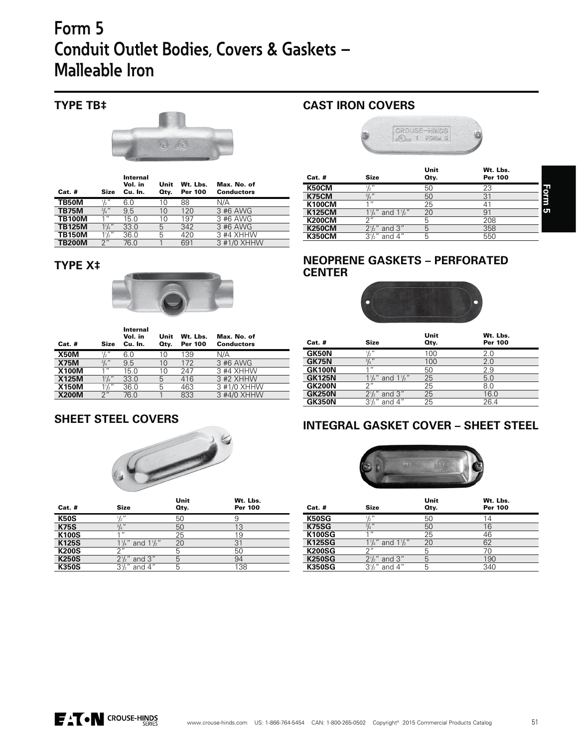# **Form 5 Conduit Outlet Bodies, Covers & Gaskets – Malleable Iron**

# **TYPE TB‡**



| <b>Cat. #</b> | Size             | Internal<br>Vol. in<br>Cu. In. | Unit<br>Qty. | Wt. Lbs.<br><b>Per 100</b> | Max. No. of<br><b>Conductors</b> |
|---------------|------------------|--------------------------------|--------------|----------------------------|----------------------------------|
| TB50M         | $\frac{1}{2}$ "  | 6.0                            | 10           | 88                         | N/A                              |
| <b>TB75M</b>  | $^{3}/_{4}$ "    | 9.5                            | 10           | 120                        | 3 #6 AWG                         |
| <b>TB100M</b> | 11               | 15.0                           | 10           | 197                        | 3 #6 AWG                         |
| <b>TB125M</b> | $1^{1}/_{4}$ "   | 33.0                           | 5            | 342                        | 3 #6 AWG                         |
| <b>TB150M</b> | $1\frac{1}{2}$ " | 36.0                           | 5            | 420                        | 3 #4 XHHW                        |
| <b>TB200M</b> | 2 <sup>''</sup>  | 76.0                           |              | 691                        | 3 #1/0 XHHW                      |

**TYPE X‡**



| $Cat.$ #     | <b>Size</b>      | Internal<br>Vol. in<br>Cu. In. | Unit<br>Qtv. | Wt. Lbs.<br><b>Per 100</b> | Max. No. of<br><b>Conductors</b> |
|--------------|------------------|--------------------------------|--------------|----------------------------|----------------------------------|
| <b>X50M</b>  | $\frac{1}{2}$ "  | 6.0                            | 10           | 139                        | N/A                              |
| <b>X75M</b>  | $^{3}/_{4}$ "    | 9.5                            | 10           | 172                        | 3 #6 AWG                         |
| <b>X100M</b> | 111              | 15.0                           | 10           | 247                        | 3 #4 XHHW                        |
| <b>X125M</b> | $1\frac{1}{4}$ " | 33.0                           | 5            | 416                        | 3 #2 XHHW                        |
| <b>X150M</b> | $1\frac{1}{2}$ " | 36.0                           | 5            | 463                        | 3 #1/0 XHHW                      |
| <b>X200M</b> | 2"               | 76.0                           |              | 833                        | 3 #4/0 XHHW                      |

### **SHEET STEEL COVERS**



| <b>Cat. #</b> | <b>Size</b>                           | Unit<br>Qty. | Wt. Lbs.<br><b>Per 100</b> |  |
|---------------|---------------------------------------|--------------|----------------------------|--|
| <b>K50S</b>   | $\frac{1}{2}$ "                       | 50           | 9                          |  |
| <b>K75S</b>   | $^{3}/_{4}$ "                         | 50           | 13                         |  |
| <b>K100S</b>  | 111                                   | 25           | 19                         |  |
| <b>K125S</b>  | $1\frac{1}{4}$ " and $1\frac{1}{2}$ " | 20           | 31                         |  |
| <b>K200S</b>  | $\bigcap$                             | 5            | 50                         |  |
| <b>K250S</b>  | $2\frac{1}{2}$ and 3"                 | 5            | 94                         |  |
| <b>K350S</b>  | $3\frac{1}{2}$ and 4"                 | 5            | 138                        |  |
|               |                                       |              |                            |  |

# **CAST IRON COVERS**



| $Cat.$ #      | <b>Size</b>                           | Unit<br>Qty. | Wt. Lbs.<br><b>Per 100</b> |             |
|---------------|---------------------------------------|--------------|----------------------------|-------------|
| K50CM         | $\frac{1}{2}$ "                       | 50           | 23                         |             |
| <b>K75CM</b>  | $^{3}/_{4}$ "                         | 50           | 31                         | <b>Form</b> |
| <b>K100CM</b> | 11                                    | 25           | 41                         |             |
| <b>K125CM</b> | $1\frac{1}{4}$ " and $1\frac{1}{2}$ " | 20           | 91                         | ъ           |
| <b>K200CM</b> | つ"                                    | 5            | 208                        |             |
| <b>K250CM</b> | $2\frac{1}{2}$ and 3"                 | 5            | 358                        |             |
| <b>K350CM</b> | $3\frac{1}{2}$ " and 4"               | 5            | 550                        |             |
|               |                                       |              |                            |             |

## **NEOPRENE GASKETS – PERFORATED CENTER**



| $Cat.$ #      | <b>Size</b>                           | Unit<br>Qty. | Wt. Lbs.<br><b>Per 100</b> |
|---------------|---------------------------------------|--------------|----------------------------|
| <b>GK50N</b>  | $\frac{1}{2}$ "                       | 100          | 2.0                        |
| <b>GK75N</b>  | $\frac{3}{4}$ "                       | 100          | 2.0                        |
| <b>GK100N</b> | $\overline{ }$                        | 50           | 2.9                        |
| <b>GK125N</b> | $1\frac{1}{4}$ " and $1\frac{1}{2}$ " | 25           | 5.0                        |
| <b>GK200N</b> | $\bigcap$                             | 25           | 8.0                        |
| <b>GK250N</b> | $2\frac{1}{2}$ " and 3"               | 25           | 16.0                       |
| <b>GK350N</b> | $3\frac{1}{2}$ " and 4"               | 25           | 26.4                       |

# **INTEGRAL GASKET COVER – SHEET STEEL**



|               |                                       | Unit | Wt. Lbs.       |
|---------------|---------------------------------------|------|----------------|
| $Cat.$ #      | <b>Size</b>                           | Qty. | <b>Per 100</b> |
| <b>K50SG</b>  | $\frac{1}{2}$ "                       | 50   | 14             |
| <b>K75SG</b>  | $\frac{3}{4}$ "                       | 50   | 16             |
| <b>K100SG</b> | 11                                    | 25   | 46             |
| <b>K125SG</b> | $1\frac{1}{4}$ " and $1\frac{1}{2}$ " | 20   | 62             |
| <b>K200SG</b> | 2''                                   | 5    | 70             |
| <b>K250SG</b> | and $3''$<br>$2^{1/2}$                | 5    | 190            |
| <b>K350SG</b> | $3\frac{1}{2}$ and 4"                 | 5    | 340            |